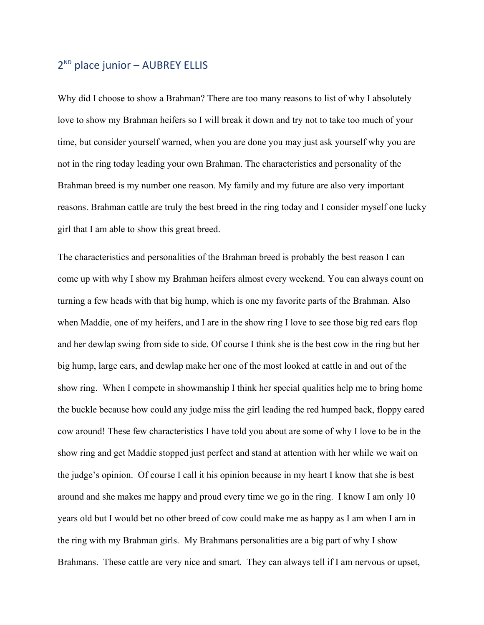## 2<sup>ND</sup> place junior - AUBREY ELLIS

Why did I choose to show a Brahman? There are too many reasons to list of why I absolutely love to show my Brahman heifers so I will break it down and try not to take too much of your time, but consider yourself warned, when you are done you may just ask yourself why you are not in the ring today leading your own Brahman. The characteristics and personality of the Brahman breed is my number one reason. My family and my future are also very important reasons. Brahman cattle are truly the best breed in the ring today and I consider myself one lucky girl that I am able to show this great breed.

The characteristics and personalities of the Brahman breed is probably the best reason I can come up with why I show my Brahman heifers almost every weekend. You can always count on turning a few heads with that big hump, which is one my favorite parts of the Brahman. Also when Maddie, one of my heifers, and I are in the show ring I love to see those big red ears flop and her dewlap swing from side to side. Of course I think she is the best cow in the ring but her big hump, large ears, and dewlap make her one of the most looked at cattle in and out of the show ring. When I compete in showmanship I think her special qualities help me to bring home the buckle because how could any judge miss the girl leading the red humped back, floppy eared cow around! These few characteristics I have told you about are some of why I love to be in the show ring and get Maddie stopped just perfect and stand at attention with her while we wait on the judge's opinion. Of course I call it his opinion because in my heart I know that she is best around and she makes me happy and proud every time we go in the ring. I know I am only 10 years old but I would bet no other breed of cow could make me as happy as I am when I am in the ring with my Brahman girls. My Brahmans personalities are a big part of why I show Brahmans. These cattle are very nice and smart. They can always tell if I am nervous or upset,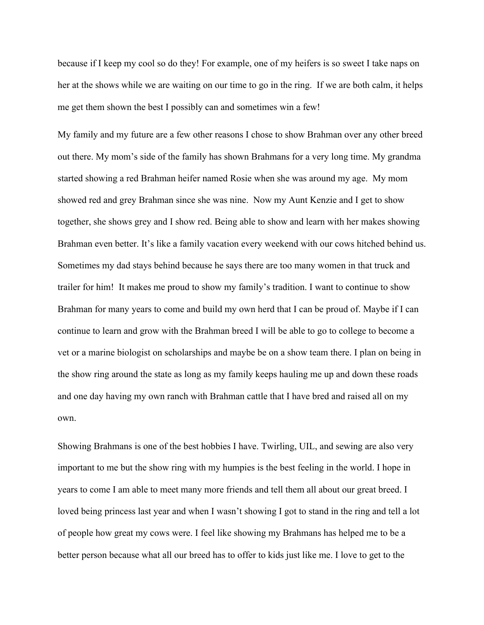because if I keep my cool so do they! For example, one of my heifers is so sweet I take naps on her at the shows while we are waiting on our time to go in the ring. If we are both calm, it helps me get them shown the best I possibly can and sometimes win a few!

My family and my future are a few other reasons I chose to show Brahman over any other breed out there. My mom's side of the family has shown Brahmans for a very long time. My grandma started showing a red Brahman heifer named Rosie when she was around my age. My mom showed red and grey Brahman since she was nine. Now my Aunt Kenzie and I get to show together, she shows grey and I show red. Being able to show and learn with her makes showing Brahman even better. It's like a family vacation every weekend with our cows hitched behind us. Sometimes my dad stays behind because he says there are too many women in that truck and trailer for him! It makes me proud to show my family's tradition. I want to continue to show Brahman for many years to come and build my own herd that I can be proud of. Maybe if I can continue to learn and grow with the Brahman breed I will be able to go to college to become a vet or a marine biologist on scholarships and maybe be on a show team there. I plan on being in the show ring around the state as long as my family keeps hauling me up and down these roads and one day having my own ranch with Brahman cattle that I have bred and raised all on my own.

Showing Brahmans is one of the best hobbies I have. Twirling, UIL, and sewing are also very important to me but the show ring with my humpies is the best feeling in the world. I hope in years to come I am able to meet many more friends and tell them all about our great breed. I loved being princess last year and when I wasn't showing I got to stand in the ring and tell a lot of people how great my cows were. I feel like showing my Brahmans has helped me to be a better person because what all our breed has to offer to kids just like me. I love to get to the